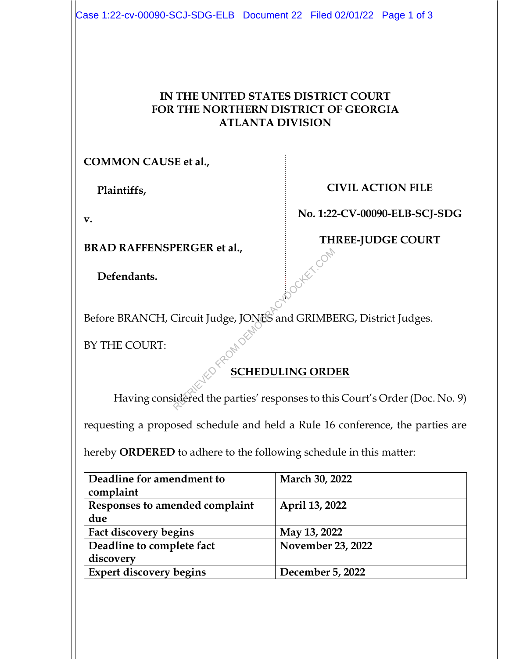## **IN THE UNITED STATES DISTRICT COURT FOR THE NORTHERN DISTRICT OF GEORGIA ATLANTA DIVISION**

**COMMON CAUSE et al.,** 

 **Plaintiffs,** 

**v.** 

**BRAD RAFFENSPERGER et al.,** 

 **Defendants.** 

**CIVIL ACTION FILE** 

**No. 1:22-CV-00090-ELB-SCJ-SDG** 

**THREE-JUDGE COURT**  Poortex com

Before BRANCH, Circuit Judge, JONES and GRIMBERG, District Judges.

BY THE COURT:

## **SCHEDULING ORDER**

Having considered the parties' responses to this Court's Order (Doc. No. 9)

requesting a proposed schedule and held a Rule 16 conference, the parties are

hereby **ORDERED** to adhere to the following schedule in this matter:

| Deadline for amendment to<br>complaint | March 30, 2022    |
|----------------------------------------|-------------------|
| Responses to amended complaint         | April 13, 2022    |
| due                                    |                   |
| Fact discovery begins                  | May 13, 2022      |
| Deadline to complete fact              | November 23, 2022 |
| discovery                              |                   |
| <b>Expert discovery begins</b>         | December 5, 2022  |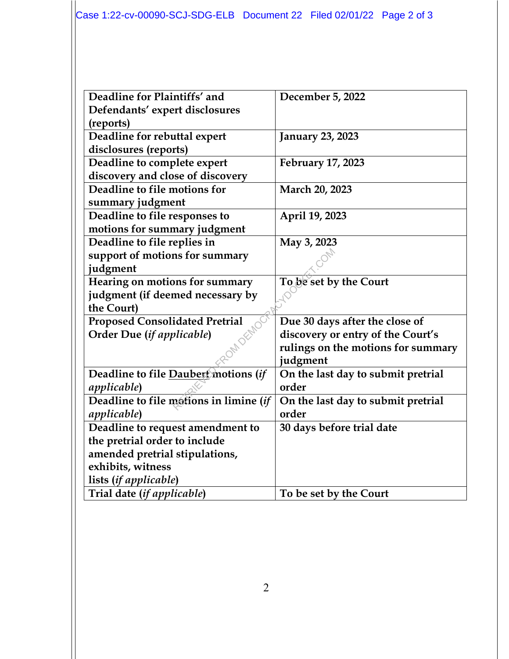| Deadline for Plaintiffs' and           | December 5, 2022                   |
|----------------------------------------|------------------------------------|
| Defendants' expert disclosures         |                                    |
| (reports)                              |                                    |
| Deadline for rebuttal expert           | <b>January 23, 2023</b>            |
| disclosures (reports)                  |                                    |
| Deadline to complete expert            | February 17, 2023                  |
| discovery and close of discovery       |                                    |
| Deadline to file motions for           | March 20, 2023                     |
| summary judgment                       |                                    |
| Deadline to file responses to          | April 19, 2023                     |
| motions for summary judgment           |                                    |
| Deadline to file replies in            | May 3, 2023                        |
| support of motions for summary         |                                    |
| judgment                               |                                    |
| Hearing on motions for summary         | To be set by the Court             |
| judgment (if deemed necessary by       |                                    |
| the Court)                             |                                    |
| <b>Proposed Consolidated Pretrial</b>  | Due 30 days after the close of     |
| Order Due (if applicable)              | discovery or entry of the Court's  |
|                                        | rulings on the motions for summary |
|                                        | judgment                           |
| Deadline to file Daubert motions (if   | On the last day to submit pretrial |
| <i>applicable</i> )                    | order                              |
| Deadline to file motions in limine (if | On the last day to submit pretrial |
| <i>applicable</i> )                    | order                              |
| Deadline to request amendment to       | 30 days before trial date          |
| the pretrial order to include          |                                    |
| amended pretrial stipulations,         |                                    |
| exhibits, witness                      |                                    |
| lists (if applicable)                  |                                    |
| Trial date (if applicable)             | To be set by the Court             |